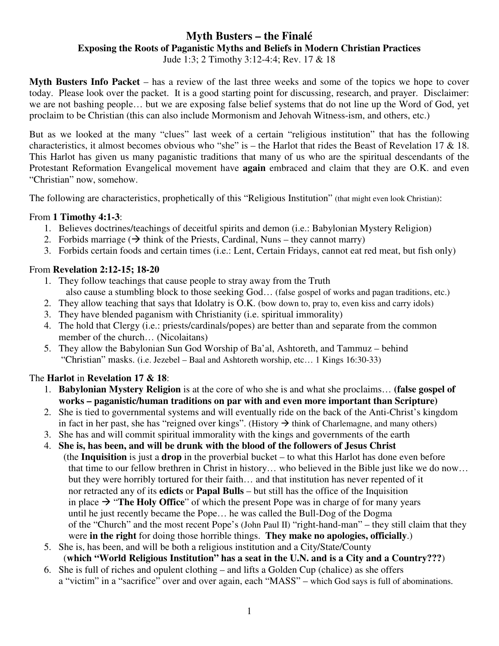# **Myth Busters – the Finalé Exposing the Roots of Paganistic Myths and Beliefs in Modern Christian Practices**

Jude 1:3; 2 Timothy 3:12-4:4; Rev. 17 & 18

**Myth Busters Info Packet** – has a review of the last three weeks and some of the topics we hope to cover today. Please look over the packet. It is a good starting point for discussing, research, and prayer. Disclaimer: we are not bashing people… but we are exposing false belief systems that do not line up the Word of God, yet proclaim to be Christian (this can also include Mormonism and Jehovah Witness-ism, and others, etc.)

But as we looked at the many "clues" last week of a certain "religious institution" that has the following characteristics, it almost becomes obvious who "she" is – the Harlot that rides the Beast of Revelation 17  $\&$  18. This Harlot has given us many paganistic traditions that many of us who are the spiritual descendants of the Protestant Reformation Evangelical movement have **again** embraced and claim that they are O.K. and even "Christian" now, somehow.

The following are characteristics, prophetically of this "Religious Institution" (that might even look Christian):

### From **1 Timothy 4:1-3**:

- 1. Believes doctrines/teachings of deceitful spirits and demon (i.e.: Babylonian Mystery Religion)
- 2. Forbids marriage  $(\rightarrow)$  think of the Priests, Cardinal, Nuns they cannot marry)
- 3. Forbids certain foods and certain times (i.e.: Lent, Certain Fridays, cannot eat red meat, but fish only)

## From **Revelation 2:12-15; 18-20**

- 1. They follow teachings that cause people to stray away from the Truth also cause a stumbling block to those seeking God… (false gospel of works and pagan traditions, etc.)
- 2. They allow teaching that says that Idolatry is O.K. (bow down to, pray to, even kiss and carry idols)
- 3. They have blended paganism with Christianity (i.e. spiritual immorality)
- 4. The hold that Clergy (i.e.: priests/cardinals/popes) are better than and separate from the common member of the church… (Nicolaitans)
- 5. They allow the Babylonian Sun God Worship of Ba'al, Ashtoreth, and Tammuz behind "Christian" masks. (i.e. Jezebel – Baal and Ashtoreth worship, etc… 1 Kings 16:30-33)

## The **Harlot** in **Revelation 17 & 18**:

- 1. **Babylonian Mystery Religion** is at the core of who she is and what she proclaims… **(false gospel of works – paganistic/human traditions on par with and even more important than Scripture)**
- 2. She is tied to governmental systems and will eventually ride on the back of the Anti-Christ's kingdom in fact in her past, she has "reigned over kings". (History  $\rightarrow$  think of Charlemagne, and many others)
- 3. She has and will commit spiritual immorality with the kings and governments of the earth
- 4. **She is, has been, and will be drunk with the blood of the followers of Jesus Christ** (the **Inquisition** is just a **drop** in the proverbial bucket – to what this Harlot has done even before that time to our fellow brethren in Christ in history… who believed in the Bible just like we do now… but they were horribly tortured for their faith… and that institution has never repented of it nor retracted any of its **edicts** or **Papal Bulls** – but still has the office of the Inquisition in place  $\rightarrow$  "The Holy Office" of which the present Pope was in charge of for many years until he just recently became the Pope… he was called the Bull-Dog of the Dogma of the "Church" and the most recent Pope's (John Paul II) "right-hand-man" – they still claim that they were **in the right** for doing those horrible things. **They make no apologies, officially**.)
- 5. She is, has been, and will be both a religious institution and a City/State/County (**which "World Religious Institution" has a seat in the U.N. and is a City and a Country???**)
- 6. She is full of riches and opulent clothing and lifts a Golden Cup (chalice) as she offers a "victim" in a "sacrifice" over and over again, each "MASS" – which God says is full of abominations.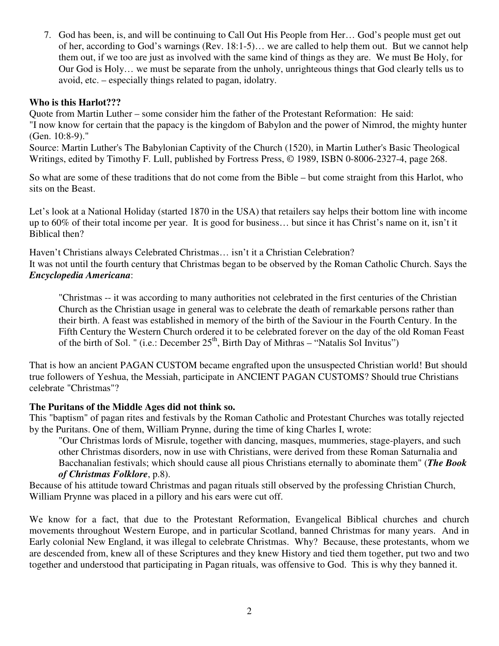7. God has been, is, and will be continuing to Call Out His People from Her… God's people must get out of her, according to God's warnings (Rev. 18:1-5)… we are called to help them out. But we cannot help them out, if we too are just as involved with the same kind of things as they are. We must Be Holy, for Our God is Holy… we must be separate from the unholy, unrighteous things that God clearly tells us to avoid, etc. – especially things related to pagan, idolatry.

#### **Who is this Harlot???**

Quote from Martin Luther – some consider him the father of the Protestant Reformation: He said: "I now know for certain that the papacy is the kingdom of Babylon and the power of Nimrod, the mighty hunter (Gen. 10:8-9)."

Source: Martin Luther's The Babylonian Captivity of the Church (1520), in Martin Luther's Basic Theological Writings, edited by Timothy F. Lull, published by Fortress Press, © 1989, ISBN 0-8006-2327-4, page 268.

So what are some of these traditions that do not come from the Bible – but come straight from this Harlot, who sits on the Beast.

Let's look at a National Holiday (started 1870 in the USA) that retailers say helps their bottom line with income up to 60% of their total income per year. It is good for business… but since it has Christ's name on it, isn't it Biblical then?

Haven't Christians always Celebrated Christmas… isn't it a Christian Celebration? It was not until the fourth century that Christmas began to be observed by the Roman Catholic Church. Says the *Encyclopedia Americana*:

"Christmas -- it was according to many authorities not celebrated in the first centuries of the Christian Church as the Christian usage in general was to celebrate the death of remarkable persons rather than their birth. A feast was established in memory of the birth of the Saviour in the Fourth Century. In the Fifth Century the Western Church ordered it to be celebrated forever on the day of the old Roman Feast of the birth of Sol. " (i.e.: December  $25<sup>th</sup>$ , Birth Day of Mithras – "Natalis Sol Invitus")

That is how an ancient PAGAN CUSTOM became engrafted upon the unsuspected Christian world! But should true followers of Yeshua, the Messiah, participate in ANCIENT PAGAN CUSTOMS? Should true Christians celebrate "Christmas"?

#### **The Puritans of the Middle Ages did not think so.**

This "baptism" of pagan rites and festivals by the Roman Catholic and Protestant Churches was totally rejected by the Puritans. One of them, William Prynne, during the time of king Charles I, wrote:

"Our Christmas lords of Misrule, together with dancing, masques, mummeries, stage-players, and such other Christmas disorders, now in use with Christians, were derived from these Roman Saturnalia and Bacchanalian festivals; which should cause all pious Christians eternally to abominate them" (*The Book of Christmas Folklore*, p.8).

Because of his attitude toward Christmas and pagan rituals still observed by the professing Christian Church, William Prynne was placed in a pillory and his ears were cut off.

We know for a fact, that due to the Protestant Reformation, Evangelical Biblical churches and church movements throughout Western Europe, and in particular Scotland, banned Christmas for many years. And in Early colonial New England, it was illegal to celebrate Christmas. Why? Because, these protestants, whom we are descended from, knew all of these Scriptures and they knew History and tied them together, put two and two together and understood that participating in Pagan rituals, was offensive to God. This is why they banned it.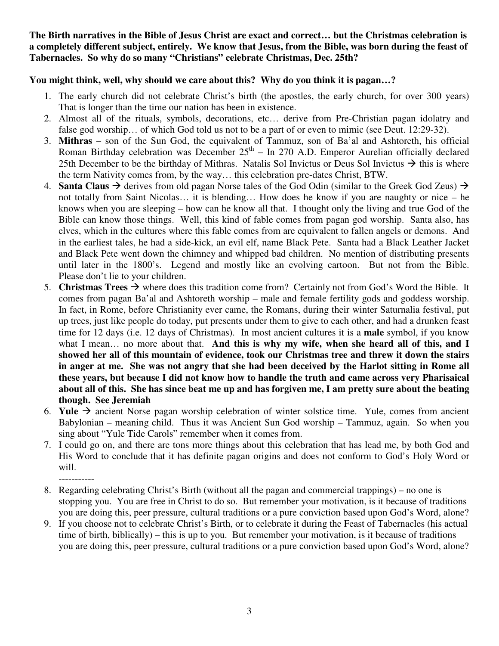**The Birth narratives in the Bible of Jesus Christ are exact and correct… but the Christmas celebration is a completely different subject, entirely. We know that Jesus, from the Bible, was born during the feast of Tabernacles. So why do so many "Christians" celebrate Christmas, Dec. 25th?** 

#### **You might think, well, why should we care about this? Why do you think it is pagan…?**

- 1. The early church did not celebrate Christ's birth (the apostles, the early church, for over 300 years) That is longer than the time our nation has been in existence.
- 2. Almost all of the rituals, symbols, decorations, etc… derive from Pre-Christian pagan idolatry and false god worship… of which God told us not to be a part of or even to mimic (see Deut. 12:29-32).
- 3. **Mithras** son of the Sun God, the equivalent of Tammuz, son of Ba'al and Ashtoreth, his official Roman Birthday celebration was December  $25<sup>th</sup> - In 270 A.D. Emperor Aurelian officially declared$ 25th December to be the birthday of Mithras. Natalis Sol Invictus or Deus Sol Invictus  $\rightarrow$  this is where the term Nativity comes from, by the way… this celebration pre-dates Christ, BTW.
- 4. **Santa Claus**  $\rightarrow$  derives from old pagan Norse tales of the God Odin (similar to the Greek God Zeus)  $\rightarrow$ not totally from Saint Nicolas… it is blending… How does he know if you are naughty or nice – he knows when you are sleeping – how can he know all that. I thought only the living and true God of the Bible can know those things. Well, this kind of fable comes from pagan god worship. Santa also, has elves, which in the cultures where this fable comes from are equivalent to fallen angels or demons. And in the earliest tales, he had a side-kick, an evil elf, name Black Pete. Santa had a Black Leather Jacket and Black Pete went down the chimney and whipped bad children. No mention of distributing presents until later in the 1800's. Legend and mostly like an evolving cartoon. But not from the Bible. Please don't lie to your children.
- 5. **Christmas Trees**  $\rightarrow$  where does this tradition come from? Certainly not from God's Word the Bible. It comes from pagan Ba'al and Ashtoreth worship – male and female fertility gods and goddess worship. In fact, in Rome, before Christianity ever came, the Romans, during their winter Saturnalia festival, put up trees, just like people do today, put presents under them to give to each other, and had a drunken feast time for 12 days (i.e. 12 days of Christmas). In most ancient cultures it is a **male** symbol, if you know what I mean... no more about that. And this is why my wife, when she heard all of this, and I **showed her all of this mountain of evidence, took our Christmas tree and threw it down the stairs in anger at me. She was not angry that she had been deceived by the Harlot sitting in Rome all these years, but because I did not know how to handle the truth and came across very Pharisaical about all of this. She has since beat me up and has forgiven me, I am pretty sure about the beating though. See Jeremiah**
- 6. **Yule**  $\rightarrow$  ancient Norse pagan worship celebration of winter solstice time. Yule, comes from ancient Babylonian – meaning child. Thus it was Ancient Sun God worship – Tammuz, again. So when you sing about "Yule Tide Carols" remember when it comes from.
- 7. I could go on, and there are tons more things about this celebration that has lead me, by both God and His Word to conclude that it has definite pagan origins and does not conform to God's Holy Word or will.
- ----------- 8. Regarding celebrating Christ's Birth (without all the pagan and commercial trappings) – no one is stopping you. You are free in Christ to do so. But remember your motivation, is it because of traditions you are doing this, peer pressure, cultural traditions or a pure conviction based upon God's Word, alone?
- 9. If you choose not to celebrate Christ's Birth, or to celebrate it during the Feast of Tabernacles (his actual time of birth, biblically) – this is up to you. But remember your motivation, is it because of traditions you are doing this, peer pressure, cultural traditions or a pure conviction based upon God's Word, alone?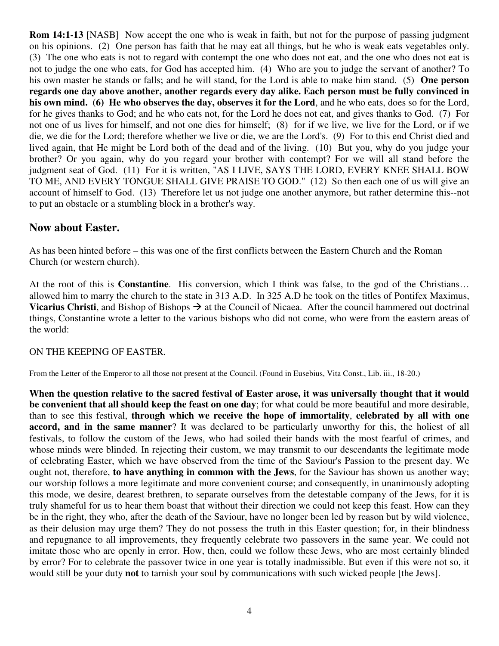**Rom 14:1-13** [NASB] Now accept the one who is weak in faith, but not for the purpose of passing judgment on his opinions. (2) One person has faith that he may eat all things, but he who is weak eats vegetables only. (3) The one who eats is not to regard with contempt the one who does not eat, and the one who does not eat is not to judge the one who eats, for God has accepted him. (4) Who are you to judge the servant of another? To his own master he stands or falls; and he will stand, for the Lord is able to make him stand. (5) **One person regards one day above another, another regards every day alike. Each person must be fully convinced in his own mind. (6) He who observes the day, observes it for the Lord**, and he who eats, does so for the Lord, for he gives thanks to God; and he who eats not, for the Lord he does not eat, and gives thanks to God. (7) For not one of us lives for himself, and not one dies for himself; (8) for if we live, we live for the Lord, or if we die, we die for the Lord; therefore whether we live or die, we are the Lord's. (9) For to this end Christ died and lived again, that He might be Lord both of the dead and of the living. (10) But you, why do you judge your brother? Or you again, why do you regard your brother with contempt? For we will all stand before the judgment seat of God. (11) For it is written, "AS I LIVE, SAYS THE LORD, EVERY KNEE SHALL BOW TO ME, AND EVERY TONGUE SHALL GIVE PRAISE TO GOD." (12) So then each one of us will give an account of himself to God. (13) Therefore let us not judge one another anymore, but rather determine this--not to put an obstacle or a stumbling block in a brother's way.

### **Now about Easter.**

As has been hinted before – this was one of the first conflicts between the Eastern Church and the Roman Church (or western church).

At the root of this is **Constantine**. His conversion, which I think was false, to the god of the Christians… allowed him to marry the church to the state in 313 A.D. In 325 A.D he took on the titles of Pontifex Maximus, **Vicarius Christi**, and Bishop of Bishops  $\rightarrow$  at the Council of Nicaea. After the council hammered out doctrinal things, Constantine wrote a letter to the various bishops who did not come, who were from the eastern areas of the world:

#### ON THE KEEPING OF EASTER.

From the Letter of the Emperor to all those not present at the Council. (Found in Eusebius, Vita Const., Lib. iii., 18-20.)

**When the question relative to the sacred festival of Easter arose, it was universally thought that it would be convenient that all should keep the feast on one day**; for what could be more beautiful and more desirable, than to see this festival, **through which we receive the hope of immortality**, **celebrated by all with one accord, and in the same manner**? It was declared to be particularly unworthy for this, the holiest of all festivals, to follow the custom of the Jews, who had soiled their hands with the most fearful of crimes, and whose minds were blinded. In rejecting their custom, we may transmit to our descendants the legitimate mode of celebrating Easter, which we have observed from the time of the Saviour's Passion to the present day. We ought not, therefore, **to have anything in common with the Jews**, for the Saviour has shown us another way; our worship follows a more legitimate and more convenient course; and consequently, in unanimously adopting this mode, we desire, dearest brethren, to separate ourselves from the detestable company of the Jews, for it is truly shameful for us to hear them boast that without their direction we could not keep this feast. How can they be in the right, they who, after the death of the Saviour, have no longer been led by reason but by wild violence, as their delusion may urge them? They do not possess the truth in this Easter question; for, in their blindness and repugnance to all improvements, they frequently celebrate two passovers in the same year. We could not imitate those who are openly in error. How, then, could we follow these Jews, who are most certainly blinded by error? For to celebrate the passover twice in one year is totally inadmissible. But even if this were not so, it would still be your duty **not** to tarnish your soul by communications with such wicked people [the Jews].